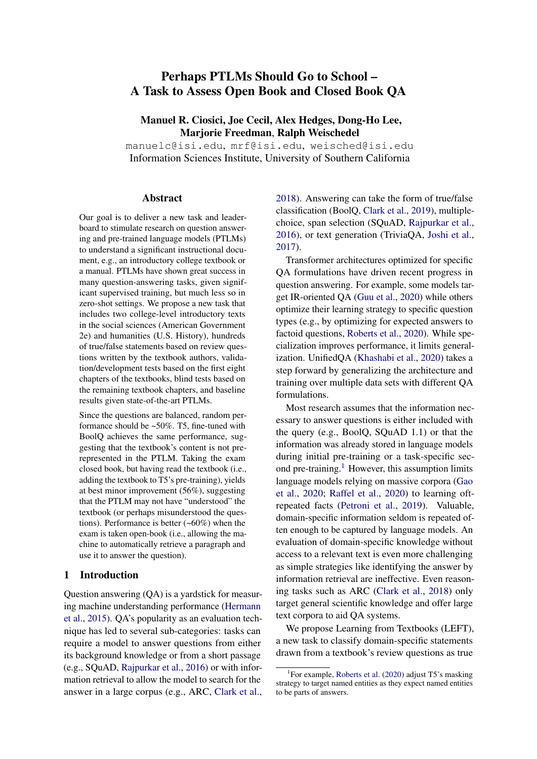# Perhaps PTLMs Should Go to School – A Task to Assess Open Book and Closed Book QA

Manuel R. Ciosici, Joe Cecil, Alex Hedges, Dong-Ho Lee, Marjorie Freedman, Ralph Weischedel

manuelc@isi.edu, mrf@isi.edu, weisched@isi.edu Information Sciences Institute, University of Southern California

#### Abstract

Our goal is to deliver a new task and leaderboard to stimulate research on question answering and pre-trained language models (PTLMs) to understand a significant instructional document, e.g., an introductory college textbook or a manual. PTLMs have shown great success in many question-answering tasks, given significant supervised training, but much less so in zero-shot settings. We propose a new task that includes two college-level introductory texts in the social sciences (American Government 2e) and humanities (U.S. History), hundreds of true/false statements based on review questions written by the textbook authors, validation/development tests based on the first eight chapters of the textbooks, blind tests based on the remaining textbook chapters, and baseline results given state-of-the-art PTLMs.

Since the questions are balanced, random performance should be ~50%. T5, fine-tuned with BoolQ achieves the same performance, suggesting that the textbook's content is not prerepresented in the PTLM. Taking the exam closed book, but having read the textbook (i.e., adding the textbook to T5's pre-training), yields at best minor improvement (56%), suggesting that the PTLM may not have "understood" the textbook (or perhaps misunderstood the questions). Performance is better (~60%) when the exam is taken open-book (i.e., allowing the machine to automatically retrieve a paragraph and use it to answer the question).

### 1 Introduction

Question answering (QA) is a yardstick for measuring machine understanding performance [\(Hermann](#page-5-0) [et al.,](#page-5-0) [2015\)](#page-5-0). QA's popularity as an evaluation technique has led to several sub-categories: tasks can require a model to answer questions from either its background knowledge or from a short passage (e.g., SQuAD, [Rajpurkar et al.,](#page-6-0) [2016\)](#page-6-0) or with information retrieval to allow the model to search for the answer in a large corpus (e.g., ARC, [Clark et al.,](#page-4-0) [2018\)](#page-4-0). Answering can take the form of true/false classification (BoolQ, [Clark et al.,](#page-4-1) [2019\)](#page-4-1), multiplechoice, span selection (SQuAD, [Rajpurkar et al.,](#page-6-0) [2016\)](#page-6-0), or text generation (TriviaQA, [Joshi et al.,](#page-5-1) [2017\)](#page-5-1).

Transformer architectures optimized for specific QA formulations have driven recent progress in question answering. For example, some models target IR-oriented QA [\(Guu et al.,](#page-5-2) [2020\)](#page-5-2) while others optimize their learning strategy to specific question types (e.g., by optimizing for expected answers to factoid questions, [Roberts et al.,](#page-6-1) [2020\)](#page-6-1). While specialization improves performance, it limits generalization. UnifiedQA [\(Khashabi et al.,](#page-5-3) [2020\)](#page-5-3) takes a step forward by generalizing the architecture and training over multiple data sets with different QA formulations.

Most research assumes that the information necessary to answer questions is either included with the query (e.g., BoolQ, SQuAD 1.1) or that the information was already stored in language models during initial pre-training or a task-specific second pre-training. $<sup>1</sup>$  $<sup>1</sup>$  $<sup>1</sup>$  However, this assumption limits</sup> language models relying on massive corpora [\(Gao](#page-5-4) [et al.,](#page-5-4) [2020;](#page-5-4) [Raffel et al.,](#page-6-2) [2020\)](#page-6-2) to learning oftrepeated facts [\(Petroni et al.,](#page-5-5) [2019\)](#page-5-5). Valuable, domain-specific information seldom is repeated often enough to be captured by language models. An evaluation of domain-specific knowledge without access to a relevant text is even more challenging as simple strategies like identifying the answer by information retrieval are ineffective. Even reasoning tasks such as ARC [\(Clark et al.,](#page-4-0) [2018\)](#page-4-0) only target general scientific knowledge and offer large text corpora to aid QA systems.

We propose Learning from Textbooks (LEFT), a new task to classify domain-specific statements drawn from a textbook's review questions as true

<span id="page-0-0"></span><sup>&</sup>lt;sup>1</sup>For example, [Roberts et al.](#page-6-1) [\(2020\)](#page-6-1) adjust T5's masking strategy to target named entities as they expect named entities to be parts of answers.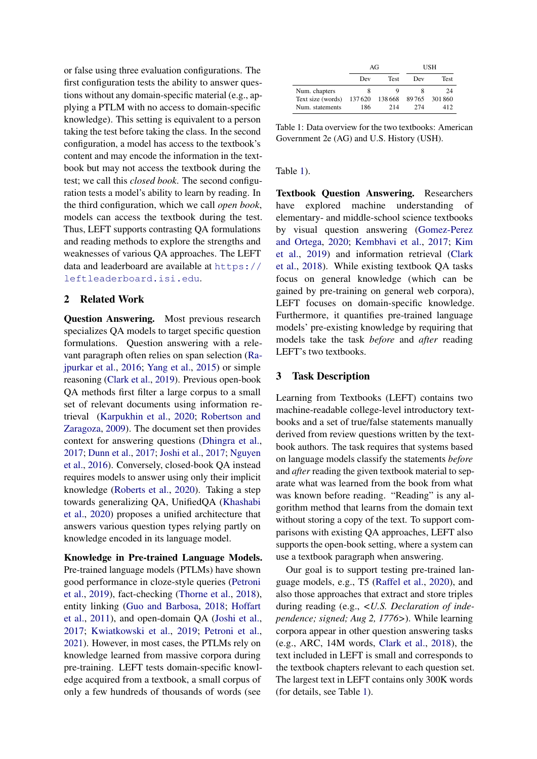or false using three evaluation configurations. The first configuration tests the ability to answer questions without any domain-specific material (e.g., applying a PTLM with no access to domain-specific knowledge). This setting is equivalent to a person taking the test before taking the class. In the second configuration, a model has access to the textbook's content and may encode the information in the textbook but may not access the textbook during the test; we call this *closed book*. The second configuration tests a model's ability to learn by reading. In the third configuration, which we call *open book*, models can access the textbook during the test. Thus, LEFT supports contrasting QA formulations and reading methods to explore the strengths and weaknesses of various QA approaches. The LEFT data and leaderboard are available at [https://](https://leftleaderboard.isi.edu) [leftleaderboard.isi.edu](https://leftleaderboard.isi.edu).

### 2 Related Work

Question Answering. Most previous research specializes QA models to target specific question formulations. Question answering with a relevant paragraph often relies on span selection [\(Ra](#page-6-0)[jpurkar et al.,](#page-6-0) [2016;](#page-6-0) [Yang et al.,](#page-6-3) [2015\)](#page-6-3) or simple reasoning [\(Clark et al.,](#page-4-1) [2019\)](#page-4-1). Previous open-book QA methods first filter a large corpus to a small set of relevant documents using information retrieval [\(Karpukhin et al.,](#page-5-6) [2020;](#page-5-6) [Robertson and](#page-6-4) [Zaragoza,](#page-6-4) [2009\)](#page-6-4). The document set then provides context for answering questions [\(Dhingra et al.,](#page-4-2) [2017;](#page-4-2) [Dunn et al.,](#page-5-7) [2017;](#page-5-7) [Joshi et al.,](#page-5-1) [2017;](#page-5-1) [Nguyen](#page-5-8) [et al.,](#page-5-8) [2016\)](#page-5-8). Conversely, closed-book QA instead requires models to answer using only their implicit knowledge [\(Roberts et al.,](#page-6-1) [2020\)](#page-6-1). Taking a step towards generalizing QA, UnifiedQA [\(Khashabi](#page-5-3) [et al.,](#page-5-3) [2020\)](#page-5-3) proposes a unified architecture that answers various question types relying partly on knowledge encoded in its language model.

Knowledge in Pre-trained Language Models. Pre-trained language models (PTLMs) have shown good performance in cloze-style queries [\(Petroni](#page-5-5) [et al.,](#page-5-5) [2019\)](#page-5-5), fact-checking [\(Thorne et al.,](#page-6-5) [2018\)](#page-6-5), entity linking [\(Guo and Barbosa,](#page-5-9) [2018;](#page-5-9) [Hoffart](#page-5-10) [et al.,](#page-5-10) [2011\)](#page-5-10), and open-domain QA [\(Joshi et al.,](#page-5-1) [2017;](#page-5-1) [Kwiatkowski et al.,](#page-5-11) [2019;](#page-5-11) [Petroni et al.,](#page-5-12) [2021\)](#page-5-12). However, in most cases, the PTLMs rely on knowledge learned from massive corpora during pre-training. LEFT tests domain-specific knowledge acquired from a textbook, a small corpus of only a few hundreds of thousands of words (see

<span id="page-1-0"></span>

|                   | AG     |             | USH    |             |
|-------------------|--------|-------------|--------|-------------|
|                   | Dev    | <b>Test</b> | Dev    | <b>Test</b> |
| Num. chapters     | 8      |             |        | 24          |
| Text size (words) | 137620 | 138 668     | 89 765 | 301860      |
| Num. statements   | 186    | 214         | 274    | 412         |

Table 1: Data overview for the two textbooks: American Government 2e (AG) and U.S. History (USH).

#### Table [1\)](#page-1-0).

Textbook Question Answering. Researchers have explored machine understanding of elementary- and middle-school science textbooks by visual question answering [\(Gomez-Perez](#page-5-13) [and Ortega,](#page-5-13) [2020;](#page-5-13) [Kembhavi et al.,](#page-5-14) [2017;](#page-5-14) [Kim](#page-5-15) [et al.,](#page-5-15) [2019\)](#page-5-15) and information retrieval [\(Clark](#page-4-0) [et al.,](#page-4-0) [2018\)](#page-4-0). While existing textbook QA tasks focus on general knowledge (which can be gained by pre-training on general web corpora), LEFT focuses on domain-specific knowledge. Furthermore, it quantifies pre-trained language models' pre-existing knowledge by requiring that models take the task *before* and *after* reading LEFT's two textbooks.

#### 3 Task Description

Learning from Textbooks (LEFT) contains two machine-readable college-level introductory textbooks and a set of true/false statements manually derived from review questions written by the textbook authors. The task requires that systems based on language models classify the statements *before* and *after* reading the given textbook material to separate what was learned from the book from what was known before reading. "Reading" is any algorithm method that learns from the domain text without storing a copy of the text. To support comparisons with existing QA approaches, LEFT also supports the open-book setting, where a system can use a textbook paragraph when answering.

Our goal is to support testing pre-trained language models, e.g., T5 [\(Raffel et al.,](#page-6-2) [2020\)](#page-6-2), and also those approaches that extract and store triples during reading (e.g., *<U.S. Declaration of independence; signed; Aug 2, 1776>*). While learning corpora appear in other question answering tasks (e.g., ARC, 14M words, [Clark et al.,](#page-4-0) [2018\)](#page-4-0), the text included in LEFT is small and corresponds to the textbook chapters relevant to each question set. The largest text in LEFT contains only 300K words (for details, see Table [1\)](#page-1-0).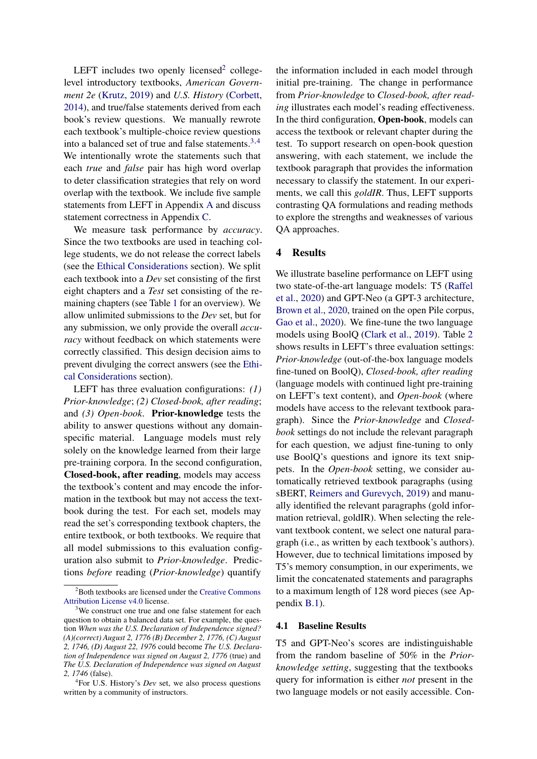LEFT includes two openly licensed<sup>[2](#page-2-0)</sup> collegelevel introductory textbooks, *American Government 2e* [\(Krutz,](#page-5-16) [2019\)](#page-5-16) and *U.S. History* [\(Corbett,](#page-4-3) [2014\)](#page-4-3), and true/false statements derived from each book's review questions. We manually rewrote each textbook's multiple-choice review questions into a balanced set of true and false statements.[3,](#page-2-1)[4](#page-2-2) We intentionally wrote the statements such that each *true* and *false* pair has high word overlap to deter classification strategies that rely on word overlap with the textbook. We include five sample statements from LEFT in Appendix [A](#page-7-0) and discuss statement correctness in Appendix [C.](#page-7-1)

We measure task performance by *accuracy*. Since the two textbooks are used in teaching college students, we do not release the correct labels (see the [Ethical Considerations](#page-4-4) section). We split each textbook into a *Dev* set consisting of the first eight chapters and a *Test* set consisting of the remaining chapters (see Table [1](#page-1-0) for an overview). We allow unlimited submissions to the *Dev* set, but for any submission, we only provide the overall *accuracy* without feedback on which statements were correctly classified. This design decision aims to prevent divulging the correct answers (see the [Ethi](#page-4-4)[cal Considerations](#page-4-4) section).

LEFT has three evaluation configurations: *(1) Prior-knowledge*; *(2) Closed-book, after reading*; and *(3) Open-book*. Prior-knowledge tests the ability to answer questions without any domainspecific material. Language models must rely solely on the knowledge learned from their large pre-training corpora. In the second configuration, Closed-book, after reading, models may access the textbook's content and may encode the information in the textbook but may not access the textbook during the test. For each set, models may read the set's corresponding textbook chapters, the entire textbook, or both textbooks. We require that all model submissions to this evaluation configuration also submit to *Prior-knowledge*. Predictions *before* reading (*Prior-knowledge*) quantify

the information included in each model through initial pre-training. The change in performance from *Prior-knowledge* to *Closed-book, after reading* illustrates each model's reading effectiveness. In the third configuration, Open-book, models can access the textbook or relevant chapter during the test. To support research on open-book question answering, with each statement, we include the textbook paragraph that provides the information necessary to classify the statement. In our experiments, we call this *goldIR*. Thus, LEFT supports contrasting QA formulations and reading methods to explore the strengths and weaknesses of various QA approaches.

### 4 Results

We illustrate baseline performance on LEFT using two state-of-the-art language models: T5 [\(Raffel](#page-6-2) [et al.,](#page-6-2) [2020\)](#page-6-2) and GPT-Neo (a GPT-3 architecture, [Brown et al.,](#page-4-5) [2020,](#page-4-5) trained on the open Pile corpus, [Gao et al.,](#page-5-4) [2020\)](#page-5-4). We fine-tune the two language models using BoolQ [\(Clark et al.,](#page-4-1) [2019\)](#page-4-1). Table [2](#page-3-0) shows results in LEFT's three evaluation settings: *Prior-knowledge* (out-of-the-box language models fine-tuned on BoolQ), *Closed-book, after reading* (language models with continued light pre-training on LEFT's text content), and *Open-book* (where models have access to the relevant textbook paragraph). Since the *Prior-knowledge* and *Closedbook* settings do not include the relevant paragraph for each question, we adjust fine-tuning to only use BoolQ's questions and ignore its text snippets. In the *Open-book* setting, we consider automatically retrieved textbook paragraphs (using sBERT, [Reimers and Gurevych,](#page-6-6) [2019\)](#page-6-6) and manually identified the relevant paragraphs (gold information retrieval, goldIR). When selecting the relevant textbook content, we select one natural paragraph (i.e., as written by each textbook's authors). However, due to technical limitations imposed by T5's memory consumption, in our experiments, we limit the concatenated statements and paragraphs to a maximum length of 128 word pieces (see Appendix [B.1\)](#page-7-2).

### 4.1 Baseline Results

T5 and GPT-Neo's scores are indistinguishable from the random baseline of 50% in the *Priorknowledge setting*, suggesting that the textbooks query for information is either *not* present in the two language models or not easily accessible. Con-

<span id="page-2-0"></span><sup>&</sup>lt;sup>2</sup>Both textbooks are licensed under the [Creative Commons](https://creativecommons.org/licenses/by/4.0/) [Attribution License v4.0](https://creativecommons.org/licenses/by/4.0/) license.

<span id="page-2-1"></span><sup>&</sup>lt;sup>3</sup>We construct one true and one false statement for each question to obtain a balanced data set. For example, the question *When was the U.S. Declaration of Independence signed? (A)(correct) August 2, 1776 (B) December 2, 1776, (C) August 2, 1746, (D) August 22, 1976* could become *The U.S. Declaration of Independence was signed on August 2, 1776* (true) and *The U.S. Declaration of Independence was signed on August 2, 1746* (false).

<span id="page-2-2"></span><sup>4</sup> For U.S. History's *Dev* set, we also process questions written by a community of instructors.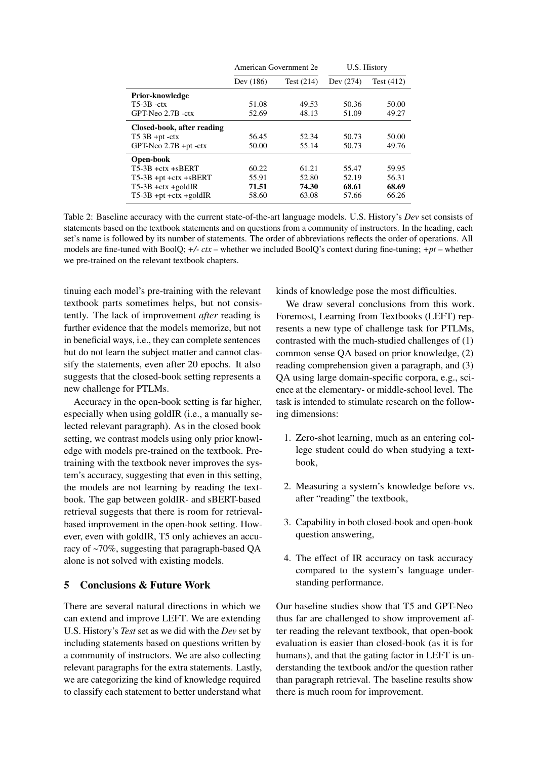<span id="page-3-0"></span>

|                            | American Government 2e |              | U.S. History |              |
|----------------------------|------------------------|--------------|--------------|--------------|
|                            | Dev (186)              | Test $(214)$ | Dev (274)    | Test $(412)$ |
| <b>Prior-knowledge</b>     |                        |              |              |              |
| $T5-3B -ctx$               | 51.08                  | 49.53        | 50.36        | 50.00        |
| GPT-Neo 2.7B -ctx          | 52.69                  | 48.13        | 51.09        | 49.27        |
| Closed-book, after reading |                        |              |              |              |
| $T5$ 3B +pt -ctx           | 56.45                  | 52.34        | 50.73        | 50.00        |
| $GPT-Neo$ 2.7B +pt -ctx    | 50.00                  | 55.14        | 50.73        | 49.76        |
| Open-book                  |                        |              |              |              |
| $T5-3B + ctx + sBERT$      | 60.22                  | 61.21        | 55.47        | 59.95        |
| $T5-3B$ +pt +ctx +sBERT    | 55.91                  | 52.80        | 52.19        | 56.31        |
| $T5-3B$ +ctx +goldIR       | 71.51                  | 74.30        | 68.61        | 68.69        |
| $T5-3B$ +pt +ctx +goldIR   | 58.60                  | 63.08        | 57.66        | 66.26        |

Table 2: Baseline accuracy with the current state-of-the-art language models. U.S. History's *Dev* set consists of statements based on the textbook statements and on questions from a community of instructors. In the heading, each set's name is followed by its number of statements. The order of abbreviations reflects the order of operations. All models are fine-tuned with BoolQ; *+/- ctx* – whether we included BoolQ's context during fine-tuning; *+pt* – whether we pre-trained on the relevant textbook chapters.

tinuing each model's pre-training with the relevant textbook parts sometimes helps, but not consistently. The lack of improvement *after* reading is further evidence that the models memorize, but not in beneficial ways, i.e., they can complete sentences but do not learn the subject matter and cannot classify the statements, even after 20 epochs. It also suggests that the closed-book setting represents a new challenge for PTLMs.

Accuracy in the open-book setting is far higher, especially when using goldIR (i.e., a manually selected relevant paragraph). As in the closed book setting, we contrast models using only prior knowledge with models pre-trained on the textbook. Pretraining with the textbook never improves the system's accuracy, suggesting that even in this setting, the models are not learning by reading the textbook. The gap between goldIR- and sBERT-based retrieval suggests that there is room for retrievalbased improvement in the open-book setting. However, even with goldIR, T5 only achieves an accuracy of ~70%, suggesting that paragraph-based QA alone is not solved with existing models.

### 5 Conclusions & Future Work

There are several natural directions in which we can extend and improve LEFT. We are extending U.S. History's *Test* set as we did with the *Dev* set by including statements based on questions written by a community of instructors. We are also collecting relevant paragraphs for the extra statements. Lastly, we are categorizing the kind of knowledge required to classify each statement to better understand what kinds of knowledge pose the most difficulties.

We draw several conclusions from this work. Foremost, Learning from Textbooks (LEFT) represents a new type of challenge task for PTLMs, contrasted with the much-studied challenges of (1) common sense QA based on prior knowledge, (2) reading comprehension given a paragraph, and (3) QA using large domain-specific corpora, e.g., science at the elementary- or middle-school level. The task is intended to stimulate research on the following dimensions:

- 1. Zero-shot learning, much as an entering college student could do when studying a textbook,
- 2. Measuring a system's knowledge before vs. after "reading" the textbook,
- 3. Capability in both closed-book and open-book question answering,
- 4. The effect of IR accuracy on task accuracy compared to the system's language understanding performance.

Our baseline studies show that T5 and GPT-Neo thus far are challenged to show improvement after reading the relevant textbook, that open-book evaluation is easier than closed-book (as it is for humans), and that the gating factor in LEFT is understanding the textbook and/or the question rather than paragraph retrieval. The baseline results show there is much room for improvement.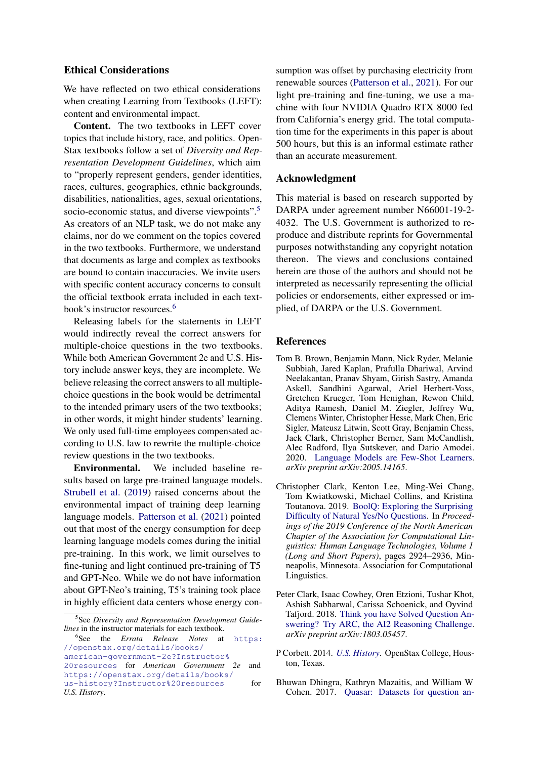## <span id="page-4-4"></span>Ethical Considerations

We have reflected on two ethical considerations when creating Learning from Textbooks (LEFT): content and environmental impact.

Content. The two textbooks in LEFT cover topics that include history, race, and politics. Open-Stax textbooks follow a set of *Diversity and Representation Development Guidelines*, which aim to "properly represent genders, gender identities, races, cultures, geographies, ethnic backgrounds, disabilities, nationalities, ages, sexual orientations, socio-economic status, and diverse viewpoints".<sup>[5](#page-4-6)</sup> As creators of an NLP task, we do not make any claims, nor do we comment on the topics covered in the two textbooks. Furthermore, we understand that documents as large and complex as textbooks are bound to contain inaccuracies. We invite users with specific content accuracy concerns to consult the official textbook errata included in each textbook's instructor resources.[6](#page-4-7)

Releasing labels for the statements in LEFT would indirectly reveal the correct answers for multiple-choice questions in the two textbooks. While both American Government 2e and U.S. History include answer keys, they are incomplete. We believe releasing the correct answers to all multiplechoice questions in the book would be detrimental to the intended primary users of the two textbooks; in other words, it might hinder students' learning. We only used full-time employees compensated according to U.S. law to rewrite the multiple-choice review questions in the two textbooks.

Environmental. We included baseline results based on large pre-trained language models. [Strubell et al.](#page-6-7) [\(2019\)](#page-6-7) raised concerns about the environmental impact of training deep learning language models. [Patterson et al.](#page-5-17) [\(2021\)](#page-5-17) pointed out that most of the energy consumption for deep learning language models comes during the initial pre-training. In this work, we limit ourselves to fine-tuning and light continued pre-training of T5 and GPT-Neo. While we do not have information about GPT-Neo's training, T5's training took place in highly efficient data centers whose energy consumption was offset by purchasing electricity from renewable sources [\(Patterson et al.,](#page-5-17) [2021\)](#page-5-17). For our light pre-training and fine-tuning, we use a machine with four NVIDIA Quadro RTX 8000 fed from California's energy grid. The total computation time for the experiments in this paper is about 500 hours, but this is an informal estimate rather than an accurate measurement.

### Acknowledgment

This material is based on research supported by DARPA under agreement number N66001-19-2- 4032. The U.S. Government is authorized to reproduce and distribute reprints for Governmental purposes notwithstanding any copyright notation thereon. The views and conclusions contained herein are those of the authors and should not be interpreted as necessarily representing the official policies or endorsements, either expressed or implied, of DARPA or the U.S. Government.

#### References

- <span id="page-4-5"></span>Tom B. Brown, Benjamin Mann, Nick Ryder, Melanie Subbiah, Jared Kaplan, Prafulla Dhariwal, Arvind Neelakantan, Pranav Shyam, Girish Sastry, Amanda Askell, Sandhini Agarwal, Ariel Herbert-Voss, Gretchen Krueger, Tom Henighan, Rewon Child, Aditya Ramesh, Daniel M. Ziegler, Jeffrey Wu, Clemens Winter, Christopher Hesse, Mark Chen, Eric Sigler, Mateusz Litwin, Scott Gray, Benjamin Chess, Jack Clark, Christopher Berner, Sam McCandlish, Alec Radford, Ilya Sutskever, and Dario Amodei. 2020. [Language Models are Few-Shot Learners.](https://arxiv.org/abs/2005.14165) *arXiv preprint arXiv:2005.14165*.
- <span id="page-4-1"></span>Christopher Clark, Kenton Lee, Ming-Wei Chang, Tom Kwiatkowski, Michael Collins, and Kristina Toutanova. 2019. [BoolQ: Exploring the Surprising](https://doi.org/10.18653/v1/N19-1300) [Difficulty of Natural Yes/No Questions.](https://doi.org/10.18653/v1/N19-1300) In *Proceedings of the 2019 Conference of the North American Chapter of the Association for Computational Linguistics: Human Language Technologies, Volume 1 (Long and Short Papers)*, pages 2924–2936, Minneapolis, Minnesota. Association for Computational Linguistics.
- <span id="page-4-0"></span>Peter Clark, Isaac Cowhey, Oren Etzioni, Tushar Khot, Ashish Sabharwal, Carissa Schoenick, and Oyvind Tafjord. 2018. [Think you have Solved Question An](https://arxiv.org/abs/1803.05457)[swering? Try ARC, the AI2 Reasoning Challenge.](https://arxiv.org/abs/1803.05457) *arXiv preprint arXiv:1803.05457*.
- <span id="page-4-3"></span>P Corbett. 2014. *[U.S. History](https://openstax.org/details/books/us-history)*. OpenStax College, Houston, Texas.
- <span id="page-4-2"></span>Bhuwan Dhingra, Kathryn Mazaitis, and William W Cohen. 2017. [Quasar: Datasets for question an-](https://arxiv.org/abs/1707.03904)

<span id="page-4-6"></span><sup>5</sup> See *Diversity and Representation Development Guidelines* in the instructor materials for each textbook.

<span id="page-4-7"></span><sup>6</sup> See the *Errata Release Notes* at [https:](https://openstax.org/details/books/american-government-2e?Instructor%20resources) [//openstax.org/details/books/](https://openstax.org/details/books/american-government-2e?Instructor%20resources) [american-government-2e?Instructor%](https://openstax.org/details/books/american-government-2e?Instructor%20resources) [20resources](https://openstax.org/details/books/american-government-2e?Instructor%20resources) for *American Government 2e* and [https://openstax.org/details/books/](https://openstax.org/details/books/us-history?Instructor%20resources) [us-history?Instructor%20resources](https://openstax.org/details/books/us-history?Instructor%20resources) for *U.S. History*.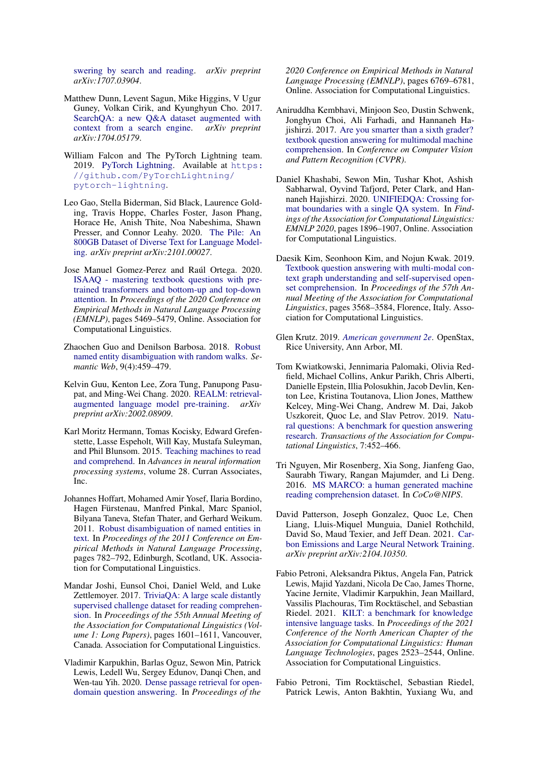[swering by search and reading.](https://arxiv.org/abs/1707.03904) *arXiv preprint arXiv:1707.03904*.

- <span id="page-5-7"></span>Matthew Dunn, Levent Sagun, Mike Higgins, V Ugur Guney, Volkan Cirik, and Kyunghyun Cho. 2017. [SearchQA: a new Q&A dataset augmented with](https://arxiv.org/abs/1704.05179) [context from a search engine.](https://arxiv.org/abs/1704.05179) *arXiv preprint arXiv:1704.05179*.
- <span id="page-5-18"></span>William Falcon and The PyTorch Lightning team. 2019. [PyTorch Lightning.](https://doi.org/10.5281/zenodo.3828935) Available at [https:](https://github.com/PyTorchLightning/pytorch-lightning) [//github.com/PyTorchLightning/](https://github.com/PyTorchLightning/pytorch-lightning) [pytorch-lightning](https://github.com/PyTorchLightning/pytorch-lightning).
- <span id="page-5-4"></span>Leo Gao, Stella Biderman, Sid Black, Laurence Golding, Travis Hoppe, Charles Foster, Jason Phang, Horace He, Anish Thite, Noa Nabeshima, Shawn Presser, and Connor Leahy. 2020. [The Pile: An](https://arxiv.org/abs/2101.00027) [800GB Dataset of Diverse Text for Language Model](https://arxiv.org/abs/2101.00027)[ing.](https://arxiv.org/abs/2101.00027) *arXiv preprint arXiv:2101.00027*.
- <span id="page-5-13"></span>Jose Manuel Gomez-Perez and Raúl Ortega. 2020. [ISAAQ - mastering textbook questions with pre](https://doi.org/10.18653/v1/2020.emnlp-main.441)[trained transformers and bottom-up and top-down](https://doi.org/10.18653/v1/2020.emnlp-main.441) [attention.](https://doi.org/10.18653/v1/2020.emnlp-main.441) In *Proceedings of the 2020 Conference on Empirical Methods in Natural Language Processing (EMNLP)*, pages 5469–5479, Online. Association for Computational Linguistics.
- <span id="page-5-9"></span>Zhaochen Guo and Denilson Barbosa. 2018. [Robust](https://doi.org/10.3233/SW-170273) [named entity disambiguation with random walks.](https://doi.org/10.3233/SW-170273) *Semantic Web*, 9(4):459–479.
- <span id="page-5-2"></span>Kelvin Guu, Kenton Lee, Zora Tung, Panupong Pasupat, and Ming-Wei Chang. 2020. [REALM: retrieval](https://arxiv.org/abs/2002.08909)[augmented language model pre-training.](https://arxiv.org/abs/2002.08909) *arXiv preprint arXiv:2002.08909*.
- <span id="page-5-0"></span>Karl Moritz Hermann, Tomas Kocisky, Edward Grefenstette, Lasse Espeholt, Will Kay, Mustafa Suleyman, and Phil Blunsom. 2015. [Teaching machines to read](https://proceedings.neurips.cc/paper/2015/file/afdec7005cc9f14302cd0474fd0f3c96-Paper.pdf) [and comprehend.](https://proceedings.neurips.cc/paper/2015/file/afdec7005cc9f14302cd0474fd0f3c96-Paper.pdf) In *Advances in neural information processing systems*, volume 28. Curran Associates, Inc.
- <span id="page-5-10"></span>Johannes Hoffart, Mohamed Amir Yosef, Ilaria Bordino, Hagen Fürstenau, Manfred Pinkal, Marc Spaniol, Bilyana Taneva, Stefan Thater, and Gerhard Weikum. 2011. [Robust disambiguation of named entities in](https://www.aclweb.org/anthology/D11-1072) [text.](https://www.aclweb.org/anthology/D11-1072) In *Proceedings of the 2011 Conference on Empirical Methods in Natural Language Processing*, pages 782–792, Edinburgh, Scotland, UK. Association for Computational Linguistics.
- <span id="page-5-1"></span>Mandar Joshi, Eunsol Choi, Daniel Weld, and Luke Zettlemoyer. 2017. [TriviaQA: A large scale distantly](https://doi.org/10.18653/v1/P17-1147) [supervised challenge dataset for reading comprehen](https://doi.org/10.18653/v1/P17-1147)[sion.](https://doi.org/10.18653/v1/P17-1147) In *Proceedings of the 55th Annual Meeting of the Association for Computational Linguistics (Volume 1: Long Papers)*, pages 1601–1611, Vancouver, Canada. Association for Computational Linguistics.
- <span id="page-5-6"></span>Vladimir Karpukhin, Barlas Oguz, Sewon Min, Patrick Lewis, Ledell Wu, Sergey Edunov, Danqi Chen, and Wen-tau Yih. 2020. [Dense passage retrieval for open](https://doi.org/10.18653/v1/2020.emnlp-main.550)[domain question answering.](https://doi.org/10.18653/v1/2020.emnlp-main.550) In *Proceedings of the*

*2020 Conference on Empirical Methods in Natural Language Processing (EMNLP)*, pages 6769–6781, Online. Association for Computational Linguistics.

- <span id="page-5-14"></span>Aniruddha Kembhavi, Minjoon Seo, Dustin Schwenk, Jonghyun Choi, Ali Farhadi, and Hannaneh Hajishirzi. 2017. [Are you smarter than a sixth grader?](https://openaccess.thecvf.com/content_cvpr_2017/html/Kembhavi_Are_You_Smarter_CVPR_2017_paper.html) [textbook question answering for multimodal machine](https://openaccess.thecvf.com/content_cvpr_2017/html/Kembhavi_Are_You_Smarter_CVPR_2017_paper.html) [comprehension.](https://openaccess.thecvf.com/content_cvpr_2017/html/Kembhavi_Are_You_Smarter_CVPR_2017_paper.html) In *Conference on Computer Vision and Pattern Recognition (CVPR)*.
- <span id="page-5-3"></span>Daniel Khashabi, Sewon Min, Tushar Khot, Ashish Sabharwal, Oyvind Tafjord, Peter Clark, and Hannaneh Hajishirzi. 2020. [UNIFIEDQA: Crossing for](https://doi.org/10.18653/v1/2020.findings-emnlp.171)[mat boundaries with a single QA system.](https://doi.org/10.18653/v1/2020.findings-emnlp.171) In *Findings of the Association for Computational Linguistics: EMNLP 2020*, pages 1896–1907, Online. Association for Computational Linguistics.
- <span id="page-5-15"></span>Daesik Kim, Seonhoon Kim, and Nojun Kwak. 2019. [Textbook question answering with multi-modal con](https://doi.org/10.18653/v1/P19-1347)[text graph understanding and self-supervised open](https://doi.org/10.18653/v1/P19-1347)[set comprehension.](https://doi.org/10.18653/v1/P19-1347) In *Proceedings of the 57th Annual Meeting of the Association for Computational Linguistics*, pages 3568–3584, Florence, Italy. Association for Computational Linguistics.
- <span id="page-5-16"></span>Glen Krutz. 2019. *[American government 2e](https://openstax.org/details/books/american-government-2e)*. OpenStax, Rice University, Ann Arbor, MI.
- <span id="page-5-11"></span>Tom Kwiatkowski, Jennimaria Palomaki, Olivia Redfield, Michael Collins, Ankur Parikh, Chris Alberti, Danielle Epstein, Illia Polosukhin, Jacob Devlin, Kenton Lee, Kristina Toutanova, Llion Jones, Matthew Kelcey, Ming-Wei Chang, Andrew M. Dai, Jakob Uszkoreit, Quoc Le, and Slav Petrov. 2019. [Natu](https://doi.org/10.1162/tacl_a_00276)[ral questions: A benchmark for question answering](https://doi.org/10.1162/tacl_a_00276) [research.](https://doi.org/10.1162/tacl_a_00276) *Transactions of the Association for Computational Linguistics*, 7:452–466.
- <span id="page-5-8"></span>Tri Nguyen, Mir Rosenberg, Xia Song, Jianfeng Gao, Saurabh Tiwary, Rangan Majumder, and Li Deng. 2016. [MS MARCO: a human generated machine](http://ceur-ws.org/Vol-1773/CoCoNIPS_2016_paper9.pdf) [reading comprehension dataset.](http://ceur-ws.org/Vol-1773/CoCoNIPS_2016_paper9.pdf) In *CoCo@NIPS*.
- <span id="page-5-17"></span>David Patterson, Joseph Gonzalez, Quoc Le, Chen Liang, Lluis-Miquel Munguia, Daniel Rothchild, David So, Maud Texier, and Jeff Dean. 2021. [Car](https://arxiv.org/abs/2104.10350)[bon Emissions and Large Neural Network Training.](https://arxiv.org/abs/2104.10350) *arXiv preprint arXiv:2104.10350*.
- <span id="page-5-12"></span>Fabio Petroni, Aleksandra Piktus, Angela Fan, Patrick Lewis, Majid Yazdani, Nicola De Cao, James Thorne, Yacine Jernite, Vladimir Karpukhin, Jean Maillard, Vassilis Plachouras, Tim Rocktäschel, and Sebastian Riedel. 2021. [KILT: a benchmark for knowledge](https://doi.org/10.18653/v1/2021.naacl-main.200) [intensive language tasks.](https://doi.org/10.18653/v1/2021.naacl-main.200) In *Proceedings of the 2021 Conference of the North American Chapter of the Association for Computational Linguistics: Human Language Technologies*, pages 2523–2544, Online. Association for Computational Linguistics.
- <span id="page-5-5"></span>Fabio Petroni, Tim Rocktäschel, Sebastian Riedel, Patrick Lewis, Anton Bakhtin, Yuxiang Wu, and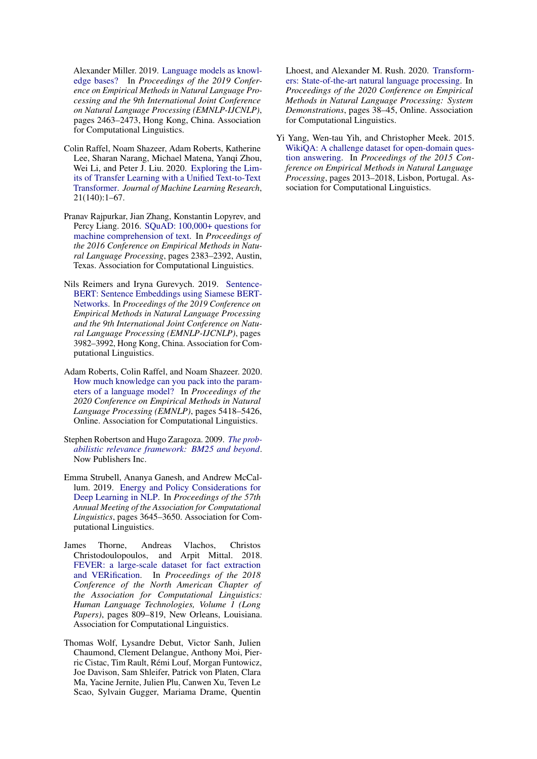Alexander Miller. 2019. [Language models as knowl](https://doi.org/10.18653/v1/D19-1250)[edge bases?](https://doi.org/10.18653/v1/D19-1250) In *Proceedings of the 2019 Conference on Empirical Methods in Natural Language Processing and the 9th International Joint Conference on Natural Language Processing (EMNLP-IJCNLP)*, pages 2463–2473, Hong Kong, China. Association for Computational Linguistics.

- <span id="page-6-2"></span>Colin Raffel, Noam Shazeer, Adam Roberts, Katherine Lee, Sharan Narang, Michael Matena, Yanqi Zhou, Wei Li, and Peter J. Liu. 2020. [Exploring the Lim](https://jmlr.org/papers/v21/20-074.html)[its of Transfer Learning with a Unified Text-to-Text](https://jmlr.org/papers/v21/20-074.html) [Transformer.](https://jmlr.org/papers/v21/20-074.html) *Journal of Machine Learning Research*, 21(140):1–67.
- <span id="page-6-0"></span>Pranav Rajpurkar, Jian Zhang, Konstantin Lopyrev, and Percy Liang. 2016. [SQuAD: 100,000+ questions for](https://doi.org/10.18653/v1/D16-1264) [machine comprehension of text.](https://doi.org/10.18653/v1/D16-1264) In *Proceedings of the 2016 Conference on Empirical Methods in Natural Language Processing*, pages 2383–2392, Austin, Texas. Association for Computational Linguistics.
- <span id="page-6-6"></span>Nils Reimers and Iryna Gurevych. 2019. [Sentence-](https://doi.org/10.18653/v1/D19-1410)[BERT: Sentence Embeddings using Siamese BERT-](https://doi.org/10.18653/v1/D19-1410)[Networks.](https://doi.org/10.18653/v1/D19-1410) In *Proceedings of the 2019 Conference on Empirical Methods in Natural Language Processing and the 9th International Joint Conference on Natural Language Processing (EMNLP-IJCNLP)*, pages 3982–3992, Hong Kong, China. Association for Computational Linguistics.
- <span id="page-6-1"></span>Adam Roberts, Colin Raffel, and Noam Shazeer. 2020. [How much knowledge can you pack into the param](https://doi.org/10.18653/v1/2020.emnlp-main.437)[eters of a language model?](https://doi.org/10.18653/v1/2020.emnlp-main.437) In *Proceedings of the 2020 Conference on Empirical Methods in Natural Language Processing (EMNLP)*, pages 5418–5426, Online. Association for Computational Linguistics.
- <span id="page-6-4"></span>Stephen Robertson and Hugo Zaragoza. 2009. *[The prob](https://doi.org/10.1561/1500000019)[abilistic relevance framework: BM25 and beyond](https://doi.org/10.1561/1500000019)*. Now Publishers Inc.
- <span id="page-6-7"></span>Emma Strubell, Ananya Ganesh, and Andrew McCallum. 2019. [Energy and Policy Considerations for](https://doi.org/10.18653/v1/P19-1355) [Deep Learning in NLP.](https://doi.org/10.18653/v1/P19-1355) In *Proceedings of the 57th Annual Meeting of the Association for Computational Linguistics*, pages 3645–3650. Association for Computational Linguistics.
- <span id="page-6-5"></span>James Thorne, Andreas Vlachos, Christos Christodoulopoulos, and Arpit Mittal. 2018. [FEVER: a large-scale dataset for fact extraction](https://doi.org/10.18653/v1/N18-1074) [and VERification.](https://doi.org/10.18653/v1/N18-1074) In *Proceedings of the 2018 Conference of the North American Chapter of the Association for Computational Linguistics: Human Language Technologies, Volume 1 (Long Papers)*, pages 809–819, New Orleans, Louisiana. Association for Computational Linguistics.
- <span id="page-6-8"></span>Thomas Wolf, Lysandre Debut, Victor Sanh, Julien Chaumond, Clement Delangue, Anthony Moi, Pierric Cistac, Tim Rault, Rémi Louf, Morgan Funtowicz, Joe Davison, Sam Shleifer, Patrick von Platen, Clara Ma, Yacine Jernite, Julien Plu, Canwen Xu, Teven Le Scao, Sylvain Gugger, Mariama Drame, Quentin

Lhoest, and Alexander M. Rush. 2020. [Transform](https://www.aclweb.org/anthology/2020.emnlp-demos.6)[ers: State-of-the-art natural language processing.](https://www.aclweb.org/anthology/2020.emnlp-demos.6) In *Proceedings of the 2020 Conference on Empirical Methods in Natural Language Processing: System Demonstrations*, pages 38–45, Online. Association for Computational Linguistics.

<span id="page-6-3"></span>Yi Yang, Wen-tau Yih, and Christopher Meek. 2015. [WikiQA: A challenge dataset for open-domain ques](https://doi.org/10.18653/v1/D15-1237)[tion answering.](https://doi.org/10.18653/v1/D15-1237) In *Proceedings of the 2015 Conference on Empirical Methods in Natural Language Processing*, pages 2013–2018, Lisbon, Portugal. Association for Computational Linguistics.